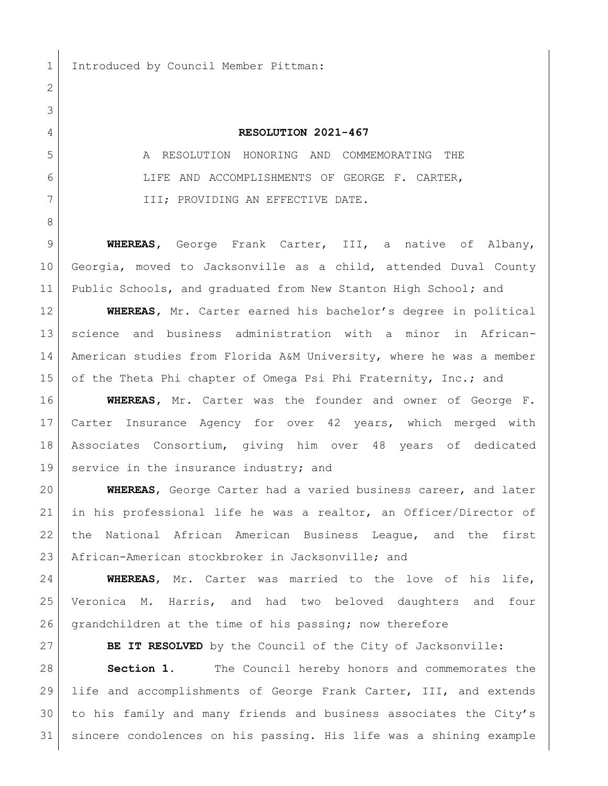Introduced by Council Member Pittman:

## **RESOLUTION 2021-467**

 A RESOLUTION HONORING AND COMMEMORATING THE LIFE AND ACCOMPLISHMENTS OF GEORGE F. CARTER, III; PROVIDING AN EFFECTIVE DATE.

 **WHEREAS,** George Frank Carter, III, a native of Albany, Georgia, moved to Jacksonville as a child, attended Duval County Public Schools, and graduated from New Stanton High School**;** and

 **WHEREAS,** Mr. Carter earned his bachelor's degree in political science and business administration with a minor in African- American studies from Florida A&M University, where he was a member 15 of the Theta Phi chapter of Omega Psi Phi Fraternity, Inc.; and

 **WHEREAS,** Mr. Carter was the founder and owner of George F. Carter Insurance Agency for over 42 years, which merged with Associates Consortium, giving him over 48 years of dedicated 19 service in the insurance industry; and

 **WHEREAS**, George Carter had a varied business career, and later in his professional life he was a realtor, an Officer/Director of the National African American Business League, and the first African-American stockbroker in Jacksonville; and

 **WHEREAS**, Mr. Carter was married to the love of his life, Veronica M. Harris, and had two beloved daughters and four 26 grandchildren at the time of his passing; now therefore

**BE IT RESOLVED** by the Council of the City of Jacksonville:

 **Section 1.** The Council hereby honors and commemorates the life and accomplishments of George Frank Carter, III, and extends to his family and many friends and business associates the City's sincere condolences on his passing. His life was a shining example